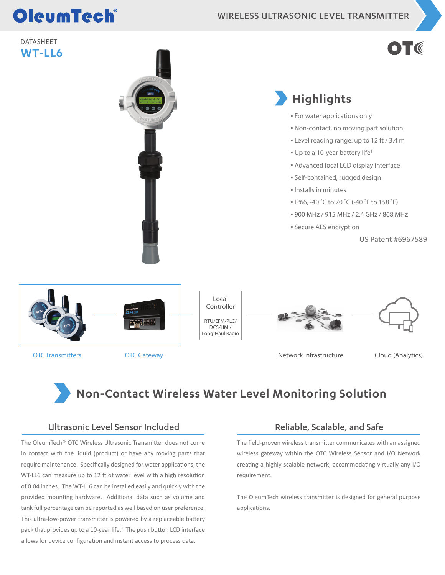# OleumTech®

WIRELESS ULTRASONIC LEVEL TRANSMITTER

#### DATASHEET **WT-LL6**

# $\bullet$  T (



OTC Transmitters **OTC Gateway** OTC Gateway Network Infrastructure Cloud (Analytics)

### **Non-Contact Wireless Water Level Monitoring Solution**

#### Ultrasonic Level Sensor Included

The OleumTech® OTC Wireless Ultrasonic Transmitter does not come in contact with the liquid (product) or have any moving parts that require maintenance. Specifically designed for water applications, the WT-LL6 can measure up to 12 ft of water level with a high resolution of 0.04 inches. The WT-LL6 can be installed easily and quickly with the provided mounting hardware. Additional data such as volume and tank full percentage can be reported as well based on user preference. This ultra-low-power transmitter is powered by a replaceable battery pack that provides up to a 10-year life.<sup>1</sup> The push button LCD interface allows for device configuration and instant access to process data.

#### Reliable, Scalable, and Safe

The field-proven wireless transmitter communicates with an assigned wireless gateway within the OTC Wireless Sensor and I/O Network creating a highly scalable network, accommodating virtually any I/O requirement.

The OleumTech wireless transmitter is designed for general purpose applications.